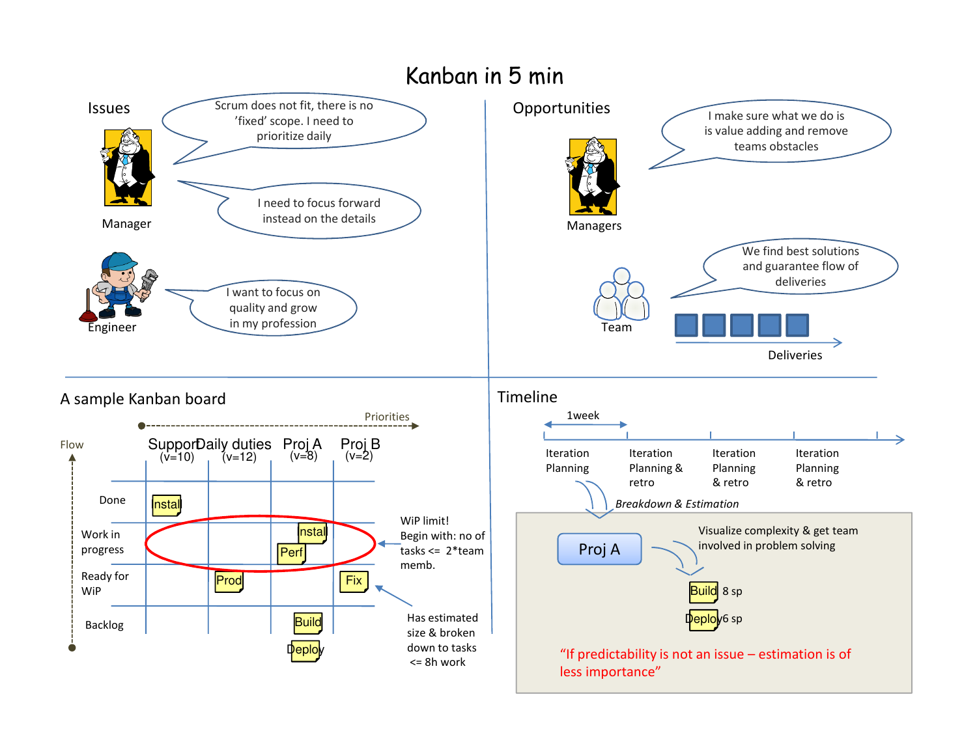